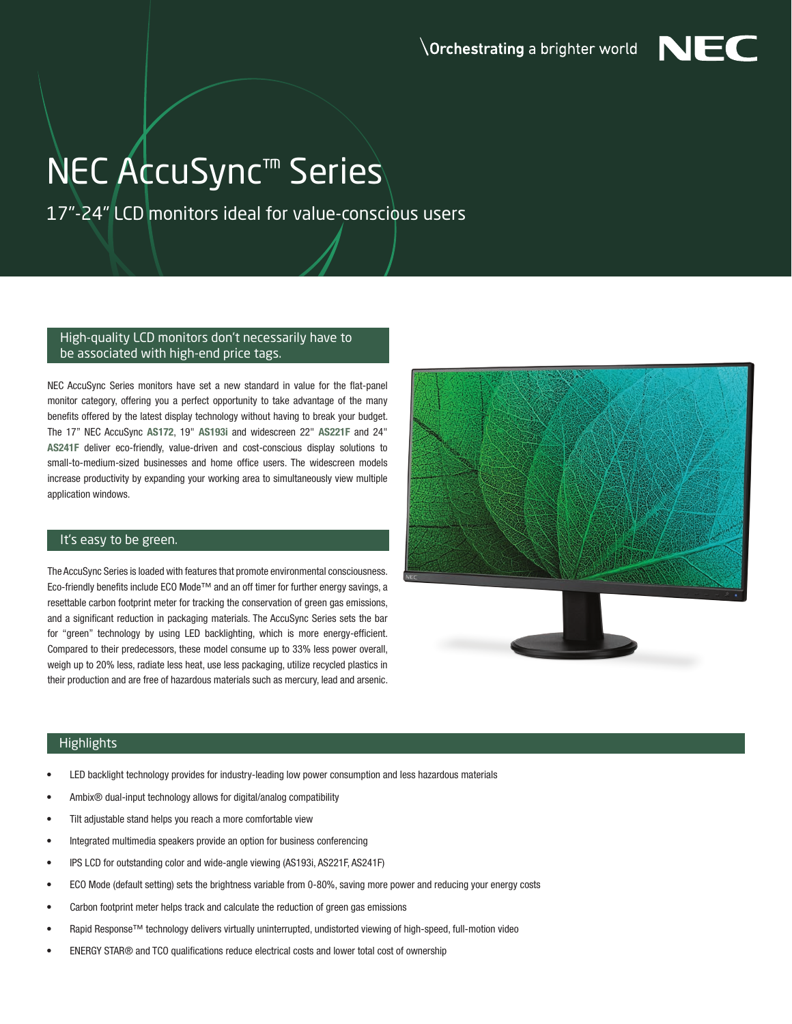

## NEC AccuSync™ Series

17"-24" LCD monitors ideal for value-conscious users

## High-quality LCD monitors don't necessarily have to be associated with high-end price tags.

NEC AccuSync Series monitors have set a new standard in value for the flat-panel monitor category, offering you a perfect opportunity to take advantage of the many benefits offered by the latest display technology without having to break your budget. The 17" NEC AccuSync AS172, 19" AS193i and widescreen 22" AS221F and 24" AS241F deliver eco-friendly, value-driven and cost-conscious display solutions to small-to-medium-sized businesses and home office users. The widescreen models increase productivity by expanding your working area to simultaneously view multiple application windows.

## It's easy to be green.

The AccuSync Series is loaded with features that promote environmental consciousness. Eco-friendly benefits include ECO Mode™ and an off timer for further energy savings, a resettable carbon footprint meter for tracking the conservation of green gas emissions, and a significant reduction in packaging materials. The AccuSync Series sets the bar for "green" technology by using LED backlighting, which is more energy-efficient. Compared to their predecessors, these model consume up to 33% less power overall, weigh up to 20% less, radiate less heat, use less packaging, utilize recycled plastics in their production and are free of hazardous materials such as mercury, lead and arsenic.



## **Highlights**

- LED backlight technology provides for industry-leading low power consumption and less hazardous materials
- Ambix® dual-input technology allows for digital/analog compatibility
- Tilt adjustable stand helps you reach a more comfortable view
- Integrated multimedia speakers provide an option for business conferencing
- IPS LCD for outstanding color and wide-angle viewing (AS193i, AS221F, AS241F)
- ECO Mode (default setting) sets the brightness variable from 0-80%, saving more power and reducing your energy costs
- Carbon footprint meter helps track and calculate the reduction of green gas emissions
- Rapid Response™ technology delivers virtually uninterrupted, undistorted viewing of high-speed, full-motion video
- ENERGY STAR® and TCO qualifications reduce electrical costs and lower total cost of ownership